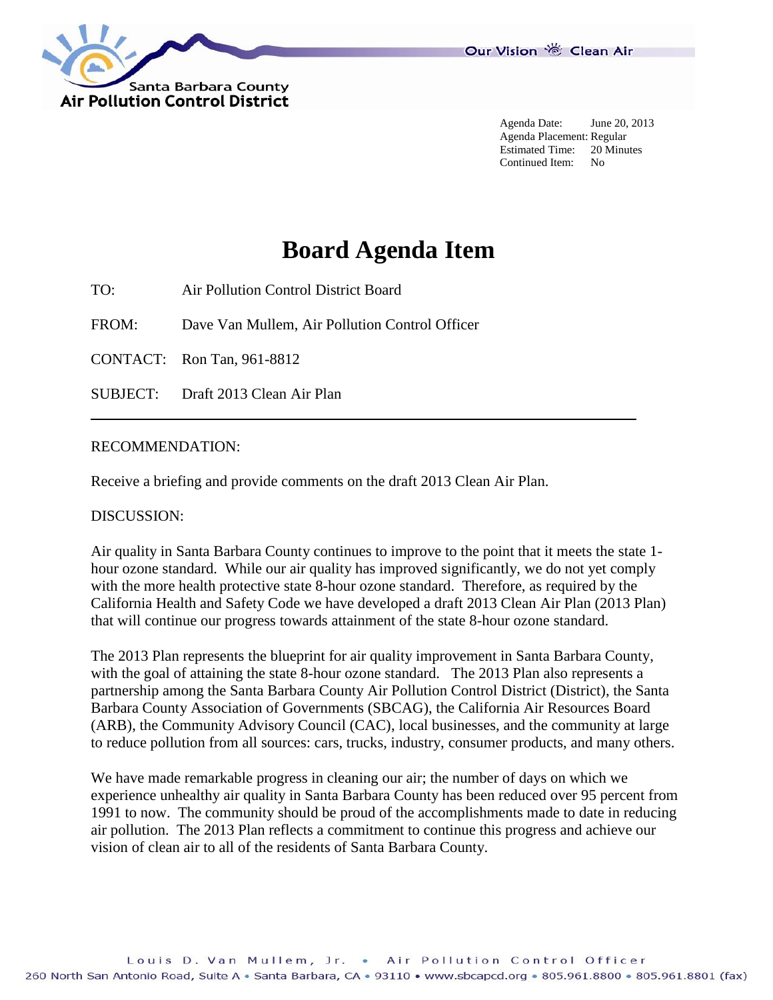

Agenda Date: June 20, 2013 Agenda Placement: Regular Estimated Time: 20 Minutes Continued Item: No

# **Board Agenda Item**

TO: Air Pollution Control District Board

FROM: Dave Van Mullem, Air Pollution Control Officer

CONTACT: Ron Tan, 961-8812

SUBJECT: Draft 2013 Clean Air Plan

#### RECOMMENDATION:

Receive a briefing and provide comments on the draft 2013 Clean Air Plan.

#### DISCUSSION:

Air quality in Santa Barbara County continues to improve to the point that it meets the state 1 hour ozone standard. While our air quality has improved significantly, we do not yet comply with the more health protective state 8-hour ozone standard. Therefore, as required by the California Health and Safety Code we have developed a draft 2013 Clean Air Plan (2013 Plan) that will continue our progress towards attainment of the state 8-hour ozone standard.

The 2013 Plan represents the blueprint for air quality improvement in Santa Barbara County, with the goal of attaining the state 8-hour ozone standard. The 2013 Plan also represents a partnership among the Santa Barbara County Air Pollution Control District (District), the Santa Barbara County Association of Governments (SBCAG), the California Air Resources Board (ARB), the Community Advisory Council (CAC), local businesses, and the community at large to reduce pollution from all sources: cars, trucks, industry, consumer products, and many others.

We have made remarkable progress in cleaning our air; the number of days on which we experience unhealthy air quality in Santa Barbara County has been reduced over 95 percent from 1991 to now. The community should be proud of the accomplishments made to date in reducing air pollution. The 2013 Plan reflects a commitment to continue this progress and achieve our vision of clean air to all of the residents of Santa Barbara County.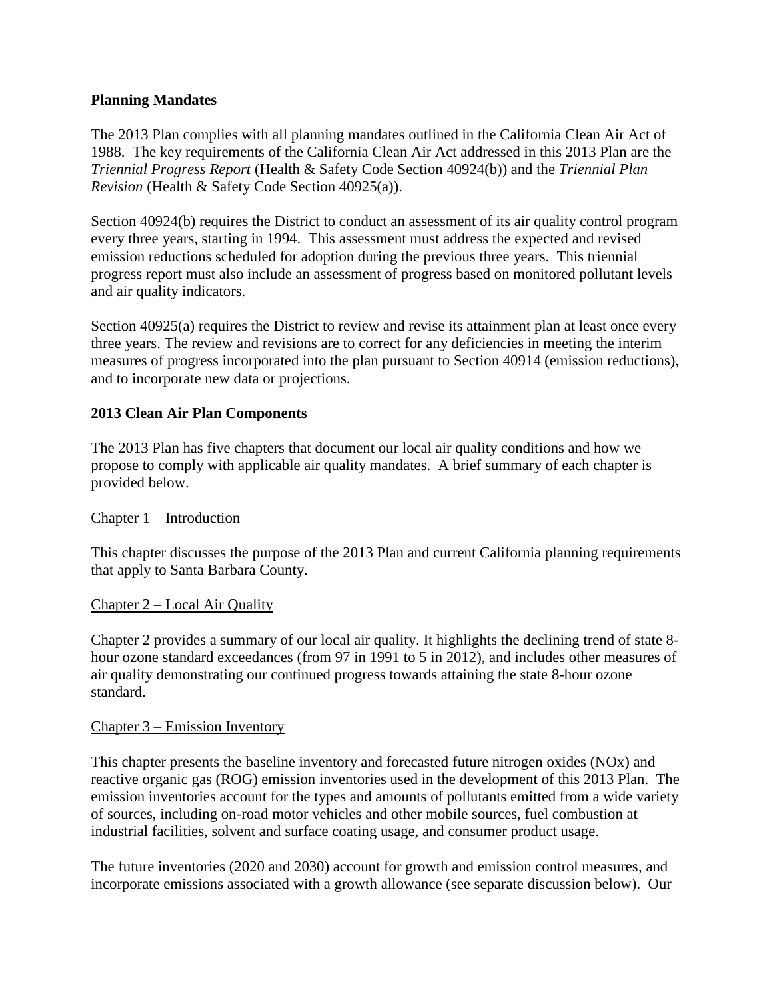# **Planning Mandates**

The 2013 Plan complies with all planning mandates outlined in the California Clean Air Act of 1988. The key requirements of the California Clean Air Act addressed in this 2013 Plan are the *Triennial Progress Report* (Health & Safety Code Section 40924(b)) and the *Triennial Plan Revision* (Health & Safety Code Section 40925(a)).

Section 40924(b) requires the District to conduct an assessment of its air quality control program every three years, starting in 1994. This assessment must address the expected and revised emission reductions scheduled for adoption during the previous three years. This triennial progress report must also include an assessment of progress based on monitored pollutant levels and air quality indicators.

Section 40925(a) requires the District to review and revise its attainment plan at least once every three years. The review and revisions are to correct for any deficiencies in meeting the interim measures of progress incorporated into the plan pursuant to Section 40914 (emission reductions), and to incorporate new data or projections.

# **2013 Clean Air Plan Components**

The 2013 Plan has five chapters that document our local air quality conditions and how we propose to comply with applicable air quality mandates. A brief summary of each chapter is provided below.

#### Chapter 1 – Introduction

This chapter discusses the purpose of the 2013 Plan and current California planning requirements that apply to Santa Barbara County.

#### Chapter 2 – Local Air Quality

Chapter 2 provides a summary of our local air quality. It highlights the declining trend of state 8 hour ozone standard exceedances (from 97 in 1991 to 5 in 2012), and includes other measures of air quality demonstrating our continued progress towards attaining the state 8-hour ozone standard.

#### Chapter 3 – Emission Inventory

This chapter presents the baseline inventory and forecasted future nitrogen oxides (NOx) and reactive organic gas (ROG) emission inventories used in the development of this 2013 Plan. The emission inventories account for the types and amounts of pollutants emitted from a wide variety of sources, including on-road motor vehicles and other mobile sources, fuel combustion at industrial facilities, solvent and surface coating usage, and consumer product usage.

The future inventories (2020 and 2030) account for growth and emission control measures, and incorporate emissions associated with a growth allowance (see separate discussion below). Our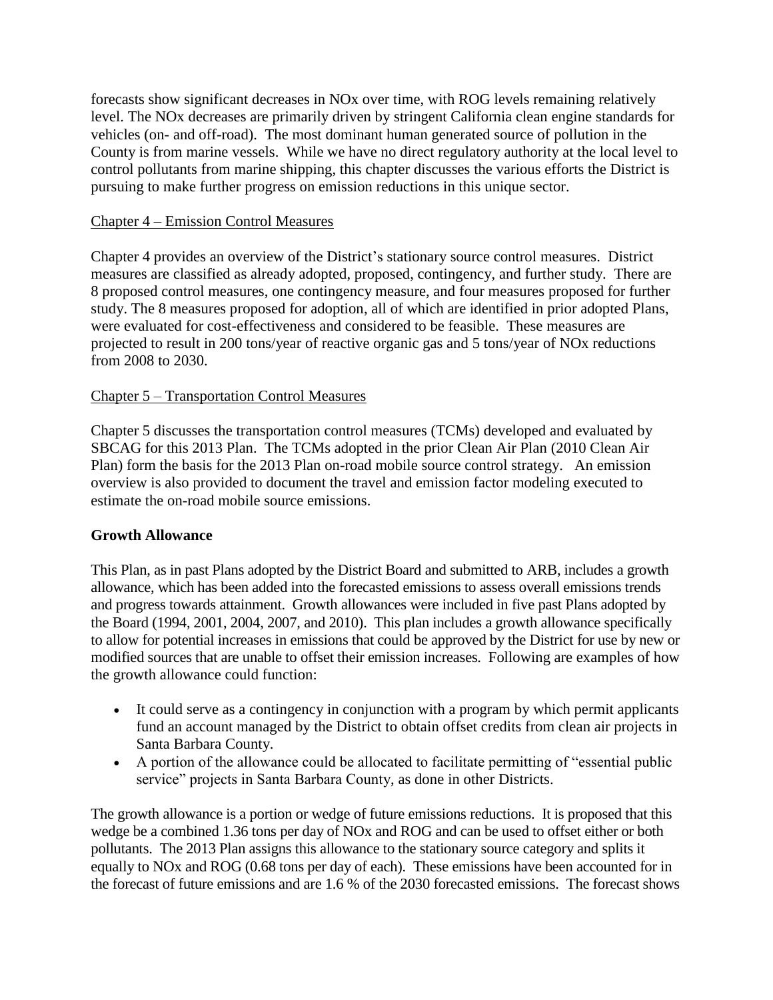forecasts show significant decreases in NOx over time, with ROG levels remaining relatively level. The NOx decreases are primarily driven by stringent California clean engine standards for vehicles (on- and off-road). The most dominant human generated source of pollution in the County is from marine vessels. While we have no direct regulatory authority at the local level to control pollutants from marine shipping, this chapter discusses the various efforts the District is pursuing to make further progress on emission reductions in this unique sector.

## Chapter 4 – Emission Control Measures

Chapter 4 provides an overview of the District's stationary source control measures. District measures are classified as already adopted, proposed, contingency, and further study. There are 8 proposed control measures, one contingency measure, and four measures proposed for further study. The 8 measures proposed for adoption, all of which are identified in prior adopted Plans, were evaluated for cost-effectiveness and considered to be feasible. These measures are projected to result in 200 tons/year of reactive organic gas and 5 tons/year of NOx reductions from 2008 to 2030.

# Chapter 5 – Transportation Control Measures

Chapter 5 discusses the transportation control measures (TCMs) developed and evaluated by SBCAG for this 2013 Plan. The TCMs adopted in the prior Clean Air Plan (2010 Clean Air Plan) form the basis for the 2013 Plan on-road mobile source control strategy. An emission overview is also provided to document the travel and emission factor modeling executed to estimate the on-road mobile source emissions.

# **Growth Allowance**

This Plan, as in past Plans adopted by the District Board and submitted to ARB, includes a growth allowance, which has been added into the forecasted emissions to assess overall emissions trends and progress towards attainment. Growth allowances were included in five past Plans adopted by the Board (1994, 2001, 2004, 2007, and 2010). This plan includes a growth allowance specifically to allow for potential increases in emissions that could be approved by the District for use by new or modified sources that are unable to offset their emission increases. Following are examples of how the growth allowance could function:

- It could serve as a contingency in conjunction with a program by which permit applicants fund an account managed by the District to obtain offset credits from clean air projects in Santa Barbara County.
- A portion of the allowance could be allocated to facilitate permitting of "essential public service" projects in Santa Barbara County, as done in other Districts.

The growth allowance is a portion or wedge of future emissions reductions. It is proposed that this wedge be a combined 1.36 tons per day of NOx and ROG and can be used to offset either or both pollutants. The 2013 Plan assigns this allowance to the stationary source category and splits it equally to NOx and ROG (0.68 tons per day of each). These emissions have been accounted for in the forecast of future emissions and are 1.6 % of the 2030 forecasted emissions. The forecast shows